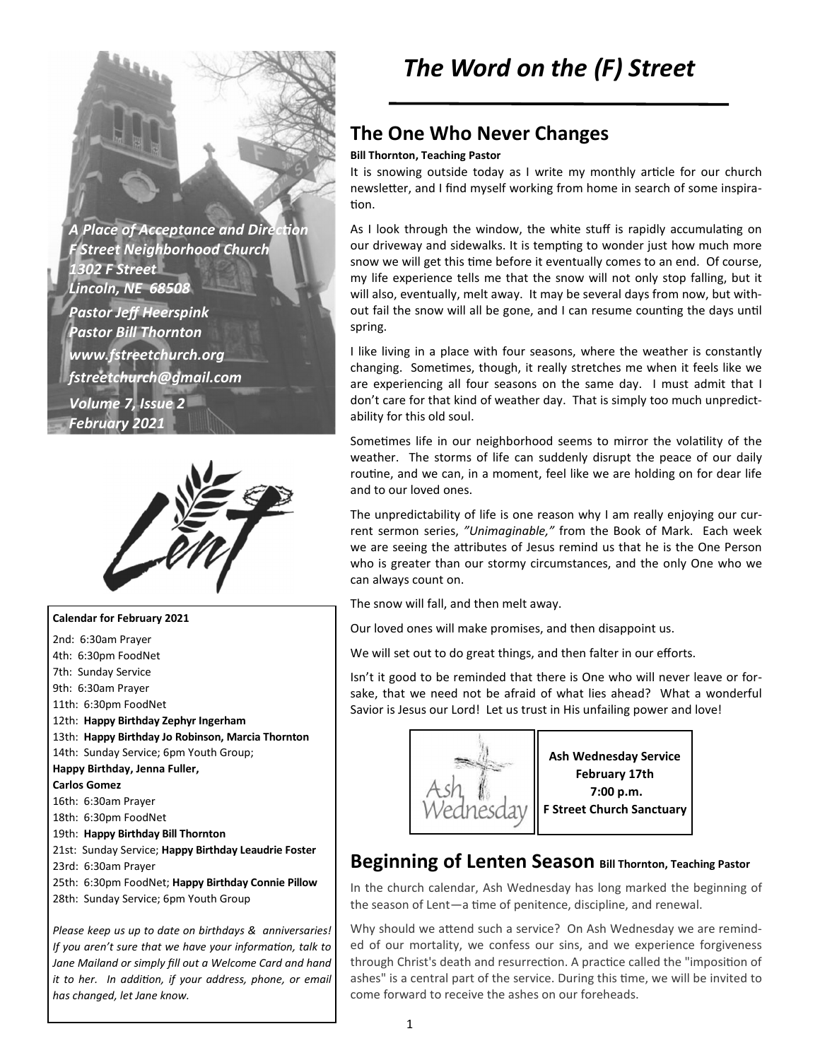**A Place of Acceptance and Direction** *F Street Neighborhood Church 1302 F Street Lincoln, NE 68508 Pastor Jeff Heerspink Pastor Bill Thornton www.fstreetchurch.org fstreetchurch@gmail.com Volume 7, Issue 2 February 2021* 



**Calendar for February 2021**  2nd: 6:30am Prayer 4th: 6:30pm FoodNet 7th: Sunday Service 9th: 6:30am Prayer 11th: 6:30pm FoodNet 12th: **Happy Birthday Zephyr Ingerham**  13th: **Happy Birthday Jo Robinson, Marcia Thornton**  14th: Sunday Service; 6pm Youth Group; **Happy Birthday, Jenna Fuller, Carlos Gomez**  16th: 6:30am Prayer 18th: 6:30pm FoodNet 19th: **Happy Birthday Bill Thornton**  21st: Sunday Service; **Happy Birthday Leaudrie Foster**  23rd: 6:30am Prayer 25th: 6:30pm FoodNet; **Happy Birthday Connie Pillow**  28th: Sunday Service; 6pm Youth Group

*Please keep us up to date on birthdays & anniversaries! If you aren't sure that we have your information, talk to Jane Mailand or simply fill out a Welcome Card and hand it to her. In addition, if your address, phone, or email has changed, let Jane know.* 

# *The Word on the (F) Street*

# **The One Who Never Changes**

#### **Bill Thornton, Teaching Pastor**

It is snowing outside today as I write my monthly article for our church newsletter, and I find myself working from home in search of some inspiration.

As I look through the window, the white stuff is rapidly accumulating on our driveway and sidewalks. It is tempting to wonder just how much more snow we will get this time before it eventually comes to an end. Of course, my life experience tells me that the snow will not only stop falling, but it will also, eventually, melt away. It may be several days from now, but without fail the snow will all be gone, and I can resume counting the days until spring.

I like living in a place with four seasons, where the weather is constantly changing. Sometimes, though, it really stretches me when it feels like we are experiencing all four seasons on the same day. I must admit that I don't care for that kind of weather day. That is simply too much unpredictability for this old soul.

Sometimes life in our neighborhood seems to mirror the volatility of the weather. The storms of life can suddenly disrupt the peace of our daily routine, and we can, in a moment, feel like we are holding on for dear life and to our loved ones.

The unpredictability of life is one reason why I am really enjoying our current sermon series, *"Unimaginable,"* from the Book of Mark. Each week we are seeing the attributes of Jesus remind us that he is the One Person who is greater than our stormy circumstances, and the only One who we can always count on.

The snow will fall, and then melt away.

Our loved ones will make promises, and then disappoint us.

We will set out to do great things, and then falter in our efforts.

Isn't it good to be reminded that there is One who will never leave or forsake, that we need not be afraid of what lies ahead? What a wonderful Savior is Jesus our Lord! Let us trust in His unfailing power and love!



**Ash Wednesday Service February 17th 7:00 p.m. F Street Church Sanctuary** 

### **Beginning of Lenten Season Bill Thornton, Teaching Pastor**

In the church calendar, Ash Wednesday has long marked the beginning of the season of Lent—a time of penitence, discipline, and renewal.

Why should we attend such a service? On Ash Wednesday we are reminded of our mortality, we confess our sins, and we experience forgiveness through Christ's death and resurrection. A practice called the "imposition of ashes" is a central part of the service. During this time, we will be invited to come forward to receive the ashes on our foreheads.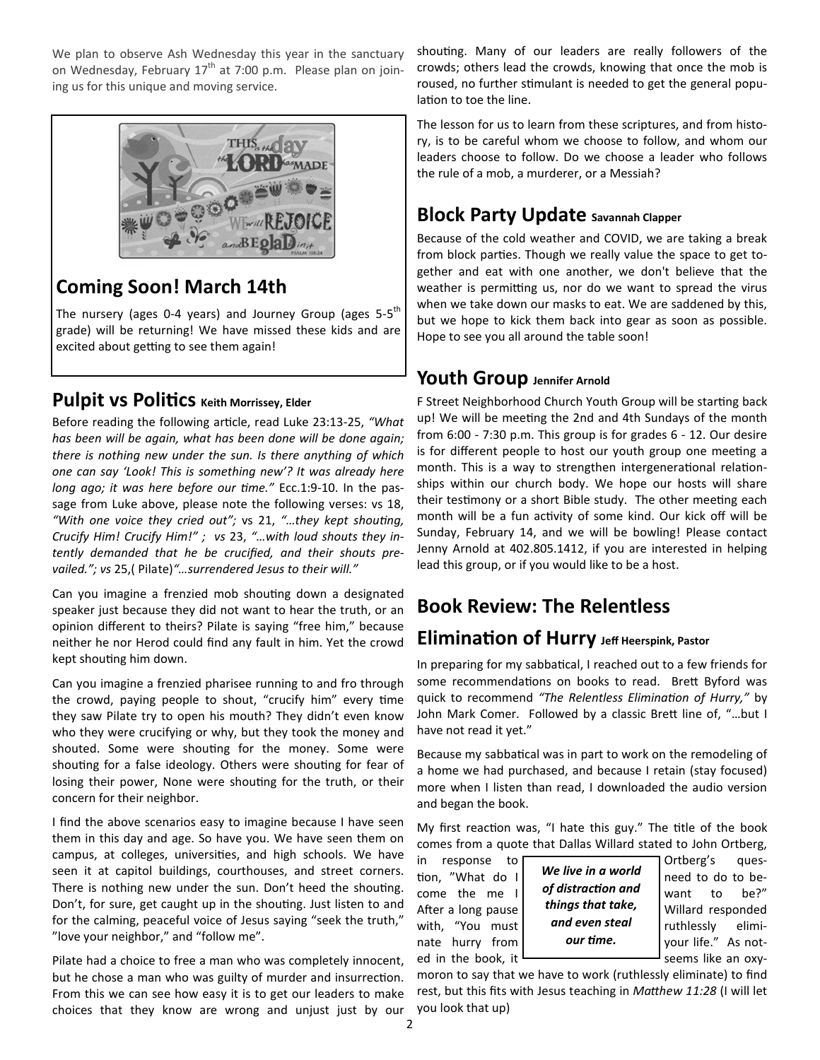We plan to observe Ash Wednesday this year in the sanctuary on Wednesday, February  $17<sup>th</sup>$  at 7:00 p.m. Please plan on joining us for this unique and moving service.



# **Coming Soon! March 14th**

The nursery (ages 0-4 years) and Journey Group (ages  $5-5^{\text{th}}$ grade) will be returning! We have missed these kids and are excited about getting to see them again!

### **Pulpit VS Politics** Keith Morrissey, Elder

Before reading the following article, read Luke 23:13-25, "What *has been will be again, what has been done will be done again; there is nothing new under the sun. Is there anything of which one can say 'Look! This is something new'? It was already here long ago; it was here before our time.*" Ecc.1:9-10. In the passage from Luke above, please note the following verses: vs 18, "With one voice they cried out"; vs 21, "...they kept shouting, *Crucify Him! Crucify Him!" ; vs* 23, *"…with loud shouts they intently demanded that he be crucified, and their shouts prevailed."; vs* 25,( Pilate)*"…surrendered Jesus to their will."* 

Can you imagine a frenzied mob shouting down a designated speaker just because they did not want to hear the truth, or an opinion different to theirs? Pilate is saying "free him," because neither he nor Herod could find any fault in him. Yet the crowd kept shouting him down.

Can you imagine a frenzied pharisee running to and fro through the crowd, paying people to shout, "crucify him" every time they saw Pilate try to open his mouth? They didn't even know who they were crucifying or why, but they took the money and shouted. Some were shouting for the money. Some were shouting for a false ideology. Others were shouting for fear of losing their power, None were shouting for the truth, or their concern for their neighbor.

I find the above scenarios easy to imagine because I have seen them in this day and age. So have you. We have seen them on campus, at colleges, universities, and high schools. We have seen it at capitol buildings, courthouses, and street corners. There is nothing new under the sun. Don't heed the shouting. Don't, for sure, get caught up in the shouting. Just listen to and for the calming, peaceful voice of Jesus saying "seek the truth," "love your neighbor," and "follow me".

Pilate had a choice to free a man who was completely innocent, but he chose a man who was guilty of murder and insurrection. From this we can see how easy it is to get our leaders to make choices that they know are wrong and unjust just by our

shouting. Many of our leaders are really followers of the crowds; others lead the crowds, knowing that once the mob is roused, no further stimulant is needed to get the general population to toe the line.

The lesson for us to learn from these scriptures, and from history, is to be careful whom we choose to follow, and whom our leaders choose to follow. Do we choose a leader who follows the rule of a mob, a murderer, or a Messiah?

# **Block Party Update Savannah Clapper**

Because of the cold weather and COVID, we are taking a break from block parties. Though we really value the space to get together and eat with one another, we don't believe that the weather is permitting us, nor do we want to spread the virus when we take down our masks to eat. We are saddened by this, but we hope to kick them back into gear as soon as possible. Hope to see you all around the table soon!

### **Youth Group Jennifer Arnold**

F Street Neighborhood Church Youth Group will be starting back up! We will be meeting the 2nd and 4th Sundays of the month from 6:00 - 7:30 p.m. This group is for grades 6 - 12. Our desire is for different people to host our youth group one meeting a month. This is a way to strengthen intergenerational relationships within our church body. We hope our hosts will share their testimony or a short Bible study. The other meeting each month will be a fun activity of some kind. Our kick off will be Sunday, February 14, and we will be bowling! Please contact Jenny Arnold at 402.805.1412, if you are interested in helping lead this group, or if you would like to be a host.

# **Book Review: The Relentless**

### **Elimination of Hurry Jeff Heerspink, Pastor**

In preparing for my sabbatical, I reached out to a few friends for some recommendations on books to read. Brett Byford was quick to recommend "The Relentless Elimination of Hurry," by John Mark Comer. Followed by a classic Brett line of, "...but I have not read it yet."

Because my sabbatical was in part to work on the remodeling of a home we had purchased, and because I retain (stay focused) more when I listen than read, I downloaded the audio version and began the book.

My first reaction was, "I hate this guy." The title of the book comes from a quote that Dallas Willard stated to John Ortberg,

tion, "What do I  $\vert$  we live in a world  $\vert$  need to do to become the me  $||$  of alstraction and  $|$  want to be?" After a long pause  $\vert$  trings that take,  $\vert$  Willard responded with, "You must | and even steal | ruthlessly eliminate hurry from  $\vert$  our time.  $\vert$  your life." As not-*We live in a world*   $of$  distraction and *things that take, and even steal*  our time.

in response to ed in the book, it  $\Box$  seems like an oxy-

moron to say that we have to work (ruthlessly eliminate) to find rest, but this fits with Jesus teaching in Matthew 11:28 (I will let you look that up)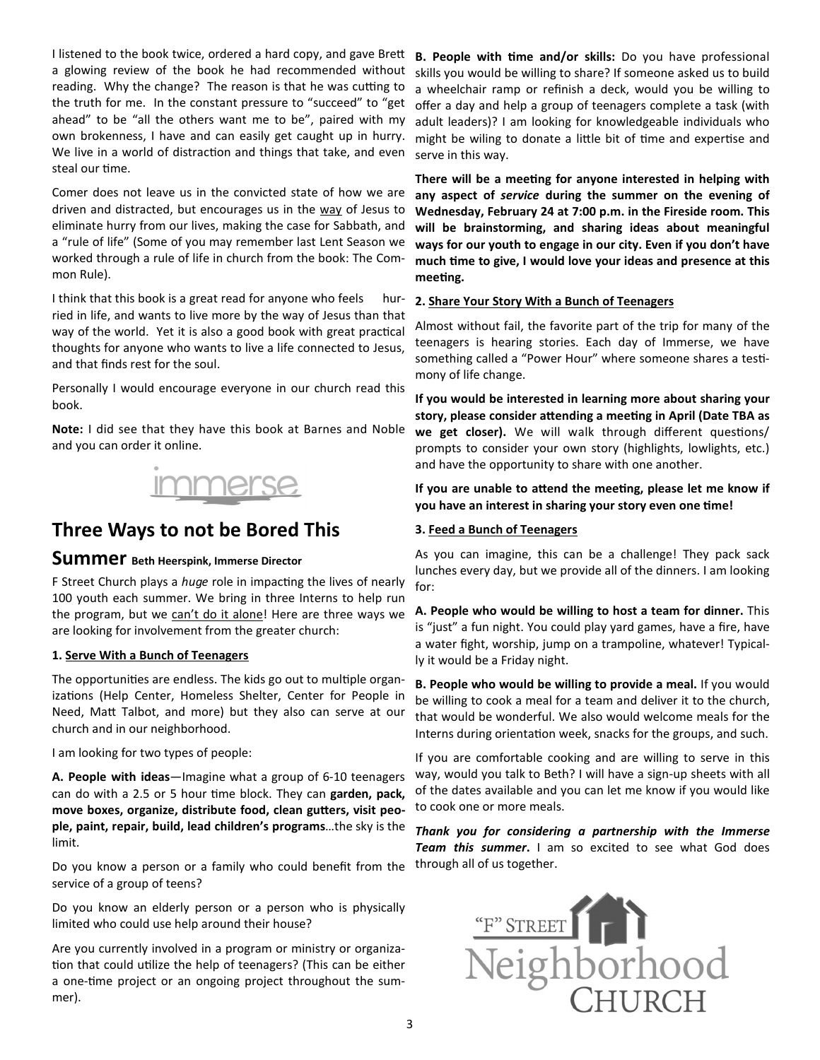I listened to the book twice, ordered a hard copy, and gave Brett a glowing review of the book he had recommended without reading. Why the change? The reason is that he was cutting to the truth for me. In the constant pressure to "succeed" to "get ahead" to be "all the others want me to be", paired with my own brokenness, I have and can easily get caught up in hurry. We live in a world of distraction and things that take, and even steal our time.

Comer does not leave us in the convicted state of how we are driven and distracted, but encourages us in the way of Jesus to eliminate hurry from our lives, making the case for Sabbath, and a "rule of life" (Some of you may remember last Lent Season we worked through a rule of life in church from the book: The Common Rule).

I think that this book is a great read for anyone who feels hurried in life, and wants to live more by the way of Jesus than that way of the world. Yet it is also a good book with great practical thoughts for anyone who wants to live a life connected to Jesus, and that finds rest for the soul.

Personally I would encourage everyone in our church read this book.

**Note:** I did see that they have this book at Barnes and Noble and you can order it online.



# **Three Ways to not be Bored This**

### **Summer Beth Heerspink, Immerse Director**

F Street Church plays a *huge* role in impacting the lives of nearly 100 youth each summer. We bring in three Interns to help run the program, but we can't do it alone! Here are three ways we are looking for involvement from the greater church:

#### **1. Serve With a Bunch of Teenagers**

The opportunities are endless. The kids go out to multiple organizations (Help Center, Homeless Shelter, Center for People in Need, Matt Talbot, and more) but they also can serve at our church and in our neighborhood.

I am looking for two types of people:

**A. People with ideas**—Imagine what a group of 6-10 teenagers can do with a 2.5 or 5 hour time block. They can garden, pack, move boxes, organize, distribute food, clean gutters, visit peo**ple, paint, repair, build, lead children's programs**…the sky is the limit.

Do you know a person or a family who could benefit from the through all of us together. service of a group of teens?

Do you know an elderly person or a person who is physically limited who could use help around their house?

Are you currently involved in a program or ministry or organiza tion that could utilize the help of teenagers? (This can be either a one-time project or an ongoing project throughout the summer).

**B. People with time and/or skills:** Do you have professional skills you would be willing to share? If someone asked us to build a wheelchair ramp or refinish a deck, would you be willing to offer a day and help a group of teenagers complete a task (with adult leaders)? I am looking for knowledgeable individuals who might be wiling to donate a little bit of time and expertise and serve in this way.

There will be a meeting for anyone interested in helping with **any aspect of** *service* **during the summer on the evening of Wednesday, February 24 at 7:00 p.m. in the Fireside room. This will be brainstorming, and sharing ideas about meaningful ways for our youth to engage in our city. Even if you don't have**  much time to give, I would love your ideas and presence at this meeting.

#### **2. Share Your Story With a Bunch of Teenagers**

Almost without fail, the favorite part of the trip for many of the teenagers is hearing stories. Each day of Immerse, we have something called a "Power Hour" where someone shares a testimony of life change.

**If you would be interested in learning more about sharing your**  story, please consider attending a meeting in April (Date TBA as we get closer). We will walk through different questions/ prompts to consider your own story (highlights, lowlights, etc.) and have the opportunity to share with one another.

If you are unable to attend the meeting, please let me know if you have an interest in sharing your story even one time!

#### **3. Feed a Bunch of Teenagers**

As you can imagine, this can be a challenge! They pack sack lunches every day, but we provide all of the dinners. I am looking for:

**A. People who would be willing to host a team for dinner.** This is "just" a fun night. You could play yard games, have a fire, have a water fight, worship, jump on a trampoline, whatever! Typically it would be a Friday night.

**B. People who would be willing to provide a meal.** If you would be willing to cook a meal for a team and deliver it to the church, that would be wonderful. We also would welcome meals for the Interns during orientation week, snacks for the groups, and such.

If you are comfortable cooking and are willing to serve in this way, would you talk to Beth? I will have a sign-up sheets with all of the dates available and you can let me know if you would like to cook one or more meals.

*Thank you for considering a partnership with the Immerse Team this summer***.** I am so excited to see what God does

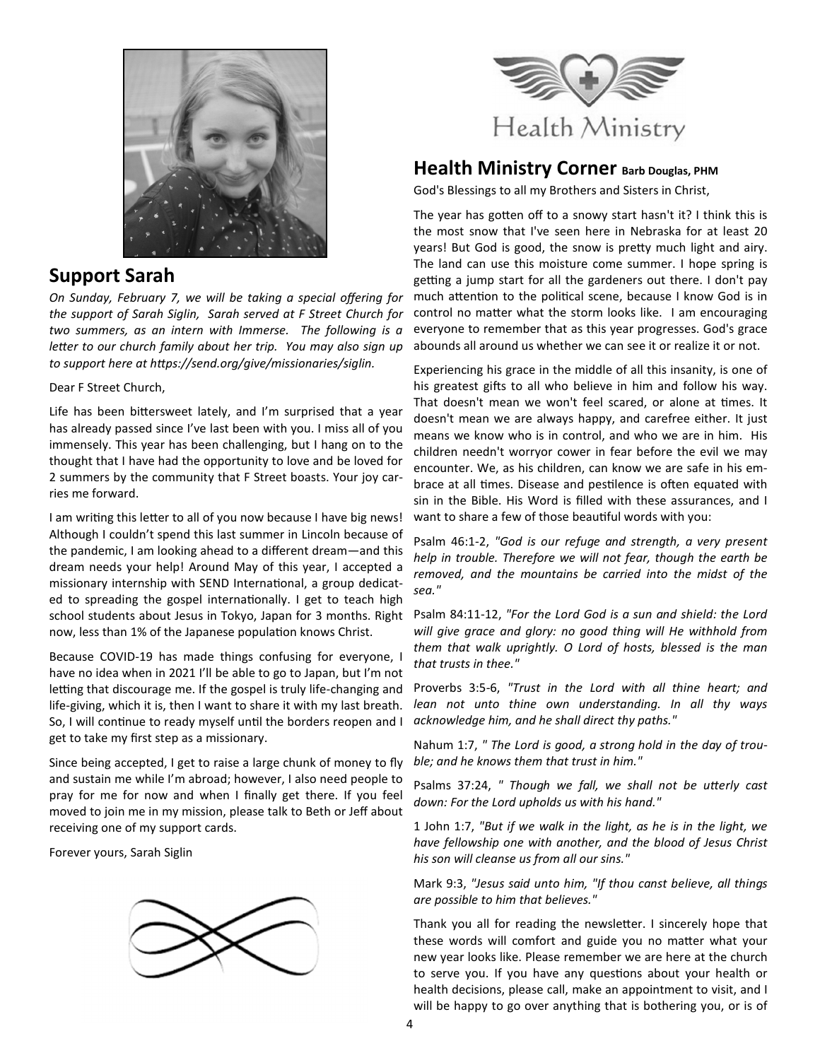

### **Support Sarah**

*On Sunday, February 7, we will be taking a special offering for the support of Sarah Siglin, Sarah served at F Street Church for two summers, as an intern with Immerse. The following is a letter to our church family about her trip. You may also sign up* to support here at https://send.org/give/missionaries/siglin.

Dear F Street Church,

Life has been bittersweet lately, and I'm surprised that a year has already passed since I've last been with you. I miss all of you immensely. This year has been challenging, but I hang on to the thought that I have had the opportunity to love and be loved for 2 summers by the community that F Street boasts. Your joy carries me forward.

I am writing this letter to all of you now because I have big news! Although I couldn't spend this last summer in Lincoln because of the pandemic, I am looking ahead to a different dream—and this dream needs your help! Around May of this year, I accepted a missionary internship with SEND International, a group dedicated to spreading the gospel internationally. I get to teach high school students about Jesus in Tokyo, Japan for 3 months. Right now, less than 1% of the Japanese population knows Christ.

Because COVID-19 has made things confusing for everyone, have no idea when in 2021 I'll be able to go to Japan, but I'm not letting that discourage me. If the gospel is truly life-changing and life-giving, which it is, then I want to share it with my last breath. So, I will continue to ready myself until the borders reopen and I get to take my first step as a missionary.

Since being accepted, I get to raise a large chunk of money to fly and sustain me while I'm abroad; however, I also need people to pray for me for now and when I finally get there. If you feel moved to join me in my mission, please talk to Beth or Jeff about receiving one of my support cards.

Forever yours, Sarah Siglin





### **Health Ministry Corner Barb Douglas, PHM**

God's Blessings to all my Brothers and Sisters in Christ,

The year has gotten off to a snowy start hasn't it? I think this is the most snow that I've seen here in Nebraska for at least 20 years! But God is good, the snow is pretty much light and airy. The land can use this moisture come summer. I hope spring is getting a jump start for all the gardeners out there. I don't pay much attention to the political scene, because I know God is in control no matter what the storm looks like. I am encouraging everyone to remember that as this year progresses. God's grace abounds all around us whether we can see it or realize it or not.

Experiencing his grace in the middle of all this insanity, is one of his greatest gifts to all who believe in him and follow his way. That doesn't mean we won't feel scared, or alone at times. It doesn't mean we are always happy, and carefree either. It just means we know who is in control, and who we are in him. His children needn't worryor cower in fear before the evil we may encounter. We, as his children, can know we are safe in his embrace at all times. Disease and pestilence is often equated with sin in the Bible. His Word is filled with these assurances, and I want to share a few of those beautiful words with you:

Psalm 46:1-2, *"God is our refuge and strength, a very present help in trouble. Therefore we will not fear, though the earth be removed, and the mountains be carried into the midst of the sea."* 

Psalm 84:11-12, *"For the Lord God is a sun and shield: the Lord will give grace and glory: no good thing will He withhold from them that walk uprightly. O Lord of hosts, blessed is the man that trusts in thee."* 

Proverbs 3:5-6, *"Trust in the Lord with all thine heart; and lean not unto thine own understanding. In all thy ways acknowledge him, and he shall direct thy paths."* 

Nahum 1:7, *" The Lord is good, a strong hold in the day of trouble; and he knows them that trust in him."* 

Psalms 37:24, " Though we fall, we shall not be utterly cast *down: For the Lord upholds us with his hand."* 

1 John 1:7, *"But if we walk in the light, as he is in the light, we have fellowship one with another, and the blood of Jesus Christ his son will cleanse us from all our sins."* 

Mark 9:3, *"Jesus said unto him, "If thou canst believe, all things are possible to him that believes."* 

Thank you all for reading the newsletter. I sincerely hope that these words will comfort and guide you no matter what your new year looks like. Please remember we are here at the church to serve you. If you have any questions about your health or health decisions, please call, make an appointment to visit, and I will be happy to go over anything that is bothering you, or is of